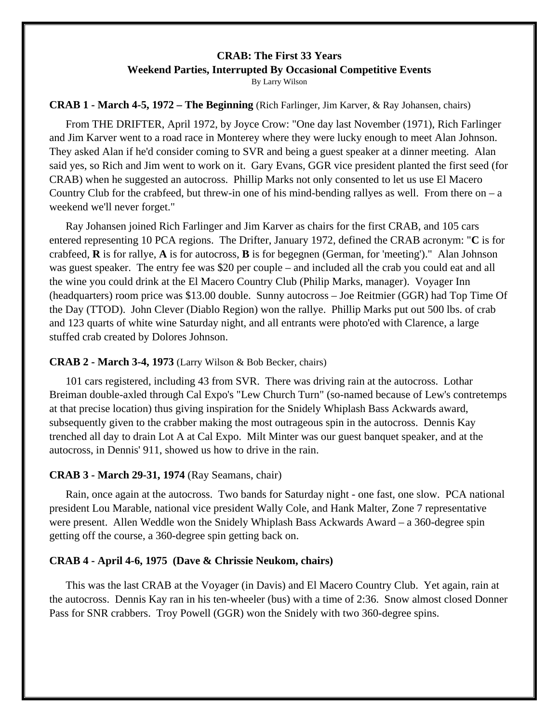# **CRAB: The First 33 Years Weekend Parties, Interrupted By Occasional Competitive Events**

By Larry Wilson

## **CRAB 1 - March 4-5, 1972 – The Beginning** (Rich Farlinger, Jim Karver, & Ray Johansen, chairs)

From THE DRIFTER, April 1972, by Joyce Crow: "One day last November (1971), Rich Farlinger and Jim Karver went to a road race in Monterey where they were lucky enough to meet Alan Johnson. They asked Alan if he'd consider coming to SVR and being a guest speaker at a dinner meeting. Alan said yes, so Rich and Jim went to work on it. Gary Evans, GGR vice president planted the first seed (for CRAB) when he suggested an autocross. Phillip Marks not only consented to let us use El Macero Country Club for the crabfeed, but threw-in one of his mind-bending rallyes as well. From there on  $-a$ weekend we'll never forget."

Ray Johansen joined Rich Farlinger and Jim Karver as chairs for the first CRAB, and 105 cars entered representing 10 PCA regions. The Drifter, January 1972, defined the CRAB acronym: "**C** is for crabfeed, **R** is for rallye, **A** is for autocross, **B** is for begegnen (German, for 'meeting')." Alan Johnson was guest speaker. The entry fee was \$20 per couple – and included all the crab you could eat and all the wine you could drink at the El Macero Country Club (Philip Marks, manager). Voyager Inn (headquarters) room price was \$13.00 double. Sunny autocross – Joe Reitmier (GGR) had Top Time Of the Day (TTOD). John Clever (Diablo Region) won the rallye. Phillip Marks put out 500 lbs. of crab and 123 quarts of white wine Saturday night, and all entrants were photo'ed with Clarence, a large stuffed crab created by Dolores Johnson.

## **CRAB 2 - March 3-4, 1973** (Larry Wilson & Bob Becker, chairs)

101 cars registered, including 43 from SVR. There was driving rain at the autocross. Lothar Breiman double-axled through Cal Expo's "Lew Church Turn" (so-named because of Lew's contretemps at that precise location) thus giving inspiration for the Snidely Whiplash Bass Ackwards award, subsequently given to the crabber making the most outrageous spin in the autocross. Dennis Kay trenched all day to drain Lot A at Cal Expo. Milt Minter was our guest banquet speaker, and at the autocross, in Dennis' 911, showed us how to drive in the rain.

# **CRAB 3 - March 29-31, 1974** (Ray Seamans, chair)

Rain, once again at the autocross. Two bands for Saturday night - one fast, one slow. PCA national president Lou Marable, national vice president Wally Cole, and Hank Malter, Zone 7 representative were present. Allen Weddle won the Snidely Whiplash Bass Ackwards Award – a 360-degree spin getting off the course, a 360-degree spin getting back on.

## **CRAB 4 - April 4-6, 1975 (Dave & Chrissie Neukom, chairs)**

This was the last CRAB at the Voyager (in Davis) and El Macero Country Club. Yet again, rain at the autocross. Dennis Kay ran in his ten-wheeler (bus) with a time of 2:36. Snow almost closed Donner Pass for SNR crabbers. Troy Powell (GGR) won the Snidely with two 360-degree spins.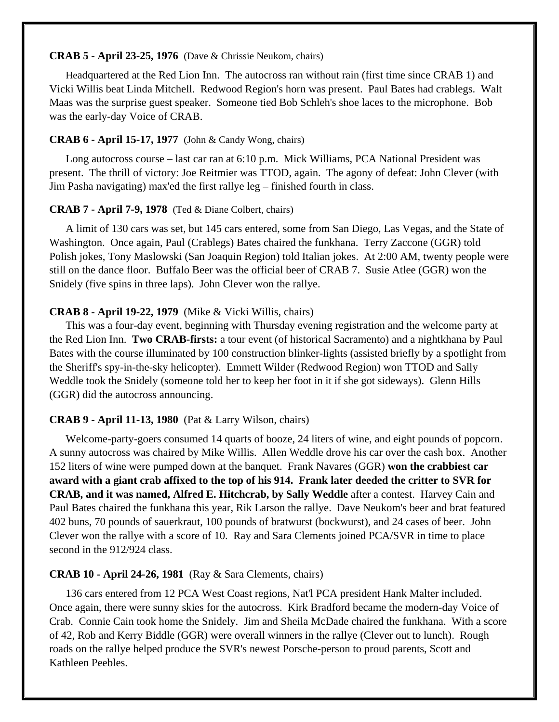#### **CRAB 5 - April 23-25, 1976** (Dave & Chrissie Neukom, chairs)

Headquartered at the Red Lion Inn. The autocross ran without rain (first time since CRAB 1) and Vicki Willis beat Linda Mitchell. Redwood Region's horn was present. Paul Bates had crablegs. Walt Maas was the surprise guest speaker. Someone tied Bob Schleh's shoe laces to the microphone. Bob was the early-day Voice of CRAB.

#### **CRAB 6 - April 15-17, 1977** (John & Candy Wong, chairs)

Long autocross course – last car ran at 6:10 p.m. Mick Williams, PCA National President was present. The thrill of victory: Joe Reitmier was TTOD, again. The agony of defeat: John Clever (with Jim Pasha navigating) max'ed the first rallye leg – finished fourth in class.

#### **CRAB 7 - April 7-9, 1978** (Ted & Diane Colbert, chairs)

A limit of 130 cars was set, but 145 cars entered, some from San Diego, Las Vegas, and the State of Washington. Once again, Paul (Crablegs) Bates chaired the funkhana. Terry Zaccone (GGR) told Polish jokes, Tony Maslowski (San Joaquin Region) told Italian jokes. At 2:00 AM, twenty people were still on the dance floor. Buffalo Beer was the official beer of CRAB 7. Susie Atlee (GGR) won the Snidely (five spins in three laps). John Clever won the rallye.

#### **CRAB 8 - April 19-22, 1979** (Mike & Vicki Willis, chairs)

This was a four-day event, beginning with Thursday evening registration and the welcome party at the Red Lion Inn. **Two CRAB-firsts:** a tour event (of historical Sacramento) and a nightkhana by Paul Bates with the course illuminated by 100 construction blinker-lights (assisted briefly by a spotlight from the Sheriff's spy-in-the-sky helicopter). Emmett Wilder (Redwood Region) won TTOD and Sally Weddle took the Snidely (someone told her to keep her foot in it if she got sideways). Glenn Hills (GGR) did the autocross announcing.

#### **CRAB 9 - April 11-13, 1980** (Pat & Larry Wilson, chairs)

Welcome-party-goers consumed 14 quarts of booze, 24 liters of wine, and eight pounds of popcorn. A sunny autocross was chaired by Mike Willis. Allen Weddle drove his car over the cash box. Another 152 liters of wine were pumped down at the banquet. Frank Navares (GGR) **won the crabbiest car award with a giant crab affixed to the top of his 914. Frank later deeded the critter to SVR for CRAB, and it was named, Alfred E. Hitchcrab, by Sally Weddle** after a contest. Harvey Cain and Paul Bates chaired the funkhana this year, Rik Larson the rallye. Dave Neukom's beer and brat featured 402 buns, 70 pounds of sauerkraut, 100 pounds of bratwurst (bockwurst), and 24 cases of beer. John Clever won the rallye with a score of 10. Ray and Sara Clements joined PCA/SVR in time to place second in the 912/924 class.

#### **CRAB 10 - April 24-26, 1981** (Ray & Sara Clements, chairs)

136 cars entered from 12 PCA West Coast regions, Nat'l PCA president Hank Malter included. Once again, there were sunny skies for the autocross. Kirk Bradford became the modern-day Voice of Crab. Connie Cain took home the Snidely. Jim and Sheila McDade chaired the funkhana. With a score of 42, Rob and Kerry Biddle (GGR) were overall winners in the rallye (Clever out to lunch). Rough roads on the rallye helped produce the SVR's newest Porsche-person to proud parents, Scott and Kathleen Peebles.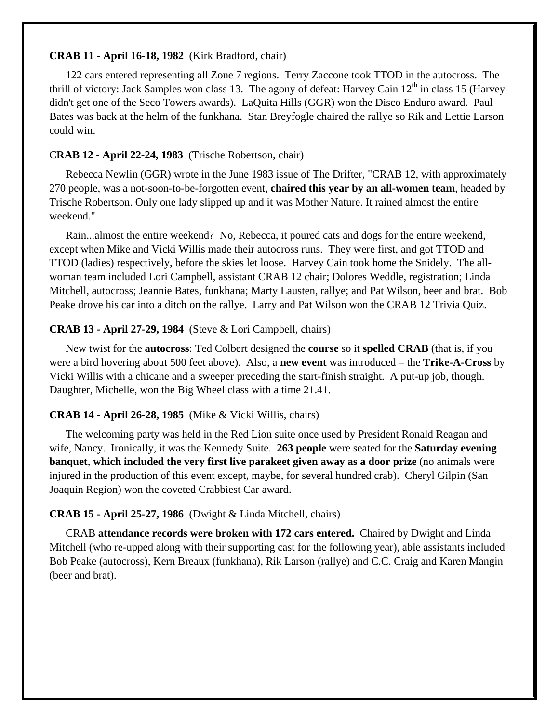#### **CRAB 11 - April 16-18, 1982** (Kirk Bradford, chair)

122 cars entered representing all Zone 7 regions. Terry Zaccone took TTOD in the autocross. The thrill of victory: Jack Samples won class 13. The agony of defeat: Harvey Cain  $12<sup>th</sup>$  in class 15 (Harvey didn't get one of the Seco Towers awards). LaQuita Hills (GGR) won the Disco Enduro award. Paul Bates was back at the helm of the funkhana. Stan Breyfogle chaired the rallye so Rik and Lettie Larson could win.

## C**RAB 12 - April 22-24, 1983** (Trische Robertson, chair)

Rebecca Newlin (GGR) wrote in the June 1983 issue of The Drifter, "CRAB 12, with approximately 270 people, was a not-soon-to-be-forgotten event, **chaired this year by an all-women team**, headed by Trische Robertson. Only one lady slipped up and it was Mother Nature. It rained almost the entire weekend."

Rain...almost the entire weekend? No, Rebecca, it poured cats and dogs for the entire weekend, except when Mike and Vicki Willis made their autocross runs. They were first, and got TTOD and TTOD (ladies) respectively, before the skies let loose. Harvey Cain took home the Snidely. The allwoman team included Lori Campbell, assistant CRAB 12 chair; Dolores Weddle, registration; Linda Mitchell, autocross; Jeannie Bates, funkhana; Marty Lausten, rallye; and Pat Wilson, beer and brat. Bob Peake drove his car into a ditch on the rallye. Larry and Pat Wilson won the CRAB 12 Trivia Quiz.

## **CRAB 13 - April 27-29, 1984** (Steve & Lori Campbell, chairs)

New twist for the **autocross**: Ted Colbert designed the **course** so it **spelled CRAB** (that is, if you were a bird hovering about 500 feet above). Also, a **new event** was introduced – the **Trike-A-Cross** by Vicki Willis with a chicane and a sweeper preceding the start-finish straight. A put-up job, though. Daughter, Michelle, won the Big Wheel class with a time 21.41.

## **CRAB 14 - April 26-28, 1985** (Mike & Vicki Willis, chairs)

The welcoming party was held in the Red Lion suite once used by President Ronald Reagan and wife, Nancy. Ironically, it was the Kennedy Suite. **263 people** were seated for the **Saturday evening banquet**, **which included the very first live parakeet given away as a door prize** (no animals were injured in the production of this event except, maybe, for several hundred crab). Cheryl Gilpin (San Joaquin Region) won the coveted Crabbiest Car award.

## **CRAB 15 - April 25-27, 1986** (Dwight & Linda Mitchell, chairs)

CRAB **attendance records were broken with 172 cars entered.** Chaired by Dwight and Linda Mitchell (who re-upped along with their supporting cast for the following year), able assistants included Bob Peake (autocross), Kern Breaux (funkhana), Rik Larson (rallye) and C.C. Craig and Karen Mangin (beer and brat).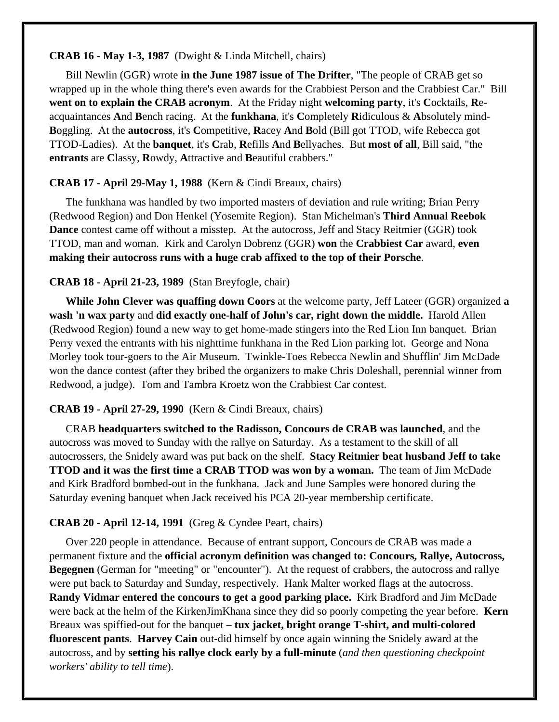#### **CRAB 16 - May 1-3, 1987** (Dwight & Linda Mitchell, chairs)

Bill Newlin (GGR) wrote **in the June 1987 issue of The Drifter**, "The people of CRAB get so wrapped up in the whole thing there's even awards for the Crabbiest Person and the Crabbiest Car." Bill **went on to explain the CRAB acronym**. At the Friday night **welcoming party**, it's **C**ocktails, **R**eacquaintances **A**nd **B**ench racing. At the **funkhana**, it's **C**ompletely **R**idiculous & **A**bsolutely mind-**B**oggling. At the **autocross**, it's **C**ompetitive, **R**acey **A**nd **B**old (Bill got TTOD, wife Rebecca got TTOD-Ladies). At the **banquet**, it's **C**rab, **R**efills **A**nd **B**ellyaches. But **most of all**, Bill said, "the **entrants** are **C**lassy, **R**owdy, **A**ttractive and **B**eautiful crabbers."

# **CRAB 17 - April 29-May 1, 1988** (Kern & Cindi Breaux, chairs)

The funkhana was handled by two imported masters of deviation and rule writing; Brian Perry (Redwood Region) and Don Henkel (Yosemite Region). Stan Michelman's **Third Annual Reebok Dance** contest came off without a misstep. At the autocross, Jeff and Stacy Reitmier (GGR) took TTOD, man and woman. Kirk and Carolyn Dobrenz (GGR) **won** the **Crabbiest Car** award, **even making their autocross runs with a huge crab affixed to the top of their Porsche**.

## **CRAB 18 - April 21-23, 1989** (Stan Breyfogle, chair)

**While John Clever was quaffing down Coors** at the welcome party, Jeff Lateer (GGR) organized **a wash 'n wax party** and **did exactly one-half of John's car, right down the middle.** Harold Allen (Redwood Region) found a new way to get home-made stingers into the Red Lion Inn banquet. Brian Perry vexed the entrants with his nighttime funkhana in the Red Lion parking lot. George and Nona Morley took tour-goers to the Air Museum. Twinkle-Toes Rebecca Newlin and Shufflin' Jim McDade won the dance contest (after they bribed the organizers to make Chris Doleshall, perennial winner from Redwood, a judge). Tom and Tambra Kroetz won the Crabbiest Car contest.

## **CRAB 19 - April 27-29, 1990** (Kern & Cindi Breaux, chairs)

CRAB **headquarters switched to the Radisson, Concours de CRAB was launched**, and the autocross was moved to Sunday with the rallye on Saturday. As a testament to the skill of all autocrossers, the Snidely award was put back on the shelf. **Stacy Reitmier beat husband Jeff to take TTOD and it was the first time a CRAB TTOD was won by a woman.** The team of Jim McDade and Kirk Bradford bombed-out in the funkhana. Jack and June Samples were honored during the Saturday evening banquet when Jack received his PCA 20-year membership certificate.

## **CRAB 20 - April 12-14, 1991** (Greg & Cyndee Peart, chairs)

Over 220 people in attendance. Because of entrant support, Concours de CRAB was made a permanent fixture and the **official acronym definition was changed to: Concours, Rallye, Autocross, Begegnen** (German for "meeting" or "encounter"). At the request of crabbers, the autocross and rallye were put back to Saturday and Sunday, respectively. Hank Malter worked flags at the autocross. **Randy Vidmar entered the concours to get a good parking place.** Kirk Bradford and Jim McDade were back at the helm of the KirkenJimKhana since they did so poorly competing the year before. **Kern** Breaux was spiffied-out for the banquet – **tux jacket, bright orange T-shirt, and multi-colored fluorescent pants**. **Harvey Cain** out-did himself by once again winning the Snidely award at the autocross, and by **setting his rallye clock early by a full-minute** (*and then questioning checkpoint workers' ability to tell time*).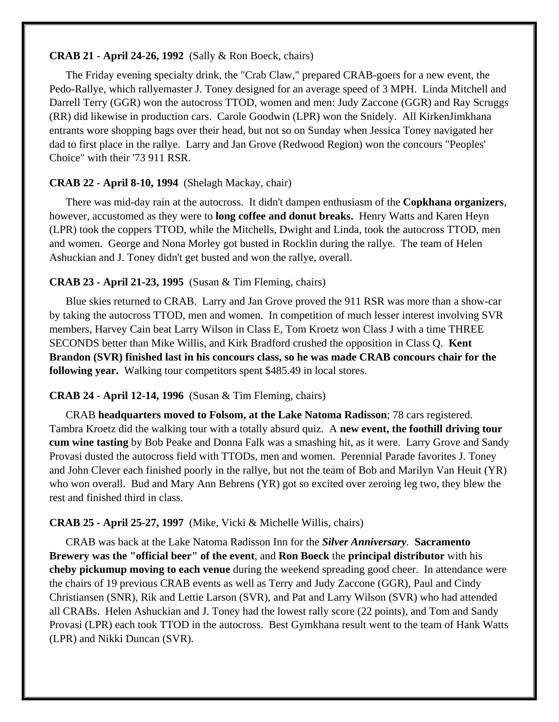#### **CRAB 21 - April 24-26, 1992** (Sally & Ron Boeck, chairs)

The Friday evening specialty drink, the "Crab Claw," prepared CRAB-goers for a new event, the Pedo-Rallye, which rallyemaster J. Toney designed for an average speed of 3 MPH. Linda Mitchell and Darrell Terry (GGR) won the autocross TTOD, women and men: Judy Zaccone (GGR) and Ray Scruggs (RR) did likewise in production cars. Carole Goodwin (LPR) won the Snidely. All KirkenJimkhana entrants wore shopping bags over their head, but not so on Sunday when Jessica Toney navigated her dad to first place in the rallye. Larry and Jan Grove (Redwood Region) won the concours "Peoples' Choice" with their '73 911 RSR.

## **CRAB 22 - April 8-10, 1994** (Shelagh Mackay, chair)

There was mid-day rain at the autocross. It didn't dampen enthusiasm of the **Copkhana organizers**, however, accustomed as they were to **long coffee and donut breaks.** Henry Watts and Karen Heyn (LPR) took the coppers TTOD, while the Mitchells, Dwight and Linda, took the autocross TTOD, men and women. George and Nona Morley got busted in Rocklin during the rallye. The team of Helen Ashuckian and J. Toney didn't get busted and won the rallye, overall.

## **CRAB 23 - April 21-23, 1995** (Susan & Tim Fleming, chairs)

Blue skies returned to CRAB. Larry and Jan Grove proved the 911 RSR was more than a show-car by taking the autocross TTOD, men and women. In competition of much lesser interest involving SVR members, Harvey Cain beat Larry Wilson in Class E, Tom Kroetz won Class J with a time THREE SECONDS better than Mike Willis, and Kirk Bradford crushed the opposition in Class Q. **Kent Brandon (SVR) finished last in his concours class, so he was made CRAB concours chair for the following year.** Walking tour competitors spent \$485.49 in local stores.

## **CRAB 24 - April 12-14, 1996** (Susan & Tim Fleming, chairs)

CRAB **headquarters moved to Folsom, at the Lake Natoma Radisson**; 78 cars registered. Tambra Kroetz did the walking tour with a totally absurd quiz. A **new event, the foothill driving tour cum wine tasting** by Bob Peake and Donna Falk was a smashing hit, as it were. Larry Grove and Sandy Provasi dusted the autocross field with TTODs, men and women. Perennial Parade favorites J. Toney and John Clever each finished poorly in the rallye, but not the team of Bob and Marilyn Van Heuit (YR) who won overall. Bud and Mary Ann Behrens (YR) got so excited over zeroing leg two, they blew the rest and finished third in class.

## **CRAB 25 - April 25-27, 1997** (Mike, Vicki & Michelle Willis, chairs)

CRAB was back at the Lake Natoma Radisson Inn for the *Silver Anniversary.* **Sacramento Brewery was the "official beer" of the event**, and **Ron Boeck** the **principal distributor** with his **cheby pickumup moving to each venue** during the weekend spreading good cheer. In attendance were the chairs of 19 previous CRAB events as well as Terry and Judy Zaccone (GGR), Paul and Cindy Christiansen (SNR), Rik and Lettie Larson (SVR), and Pat and Larry Wilson (SVR) who had attended all CRABs. Helen Ashuckian and J. Toney had the lowest rally score (22 points), and Tom and Sandy Provasi (LPR) each took TTOD in the autocross. Best Gymkhana result went to the team of Hank Watts (LPR) and Nikki Duncan (SVR).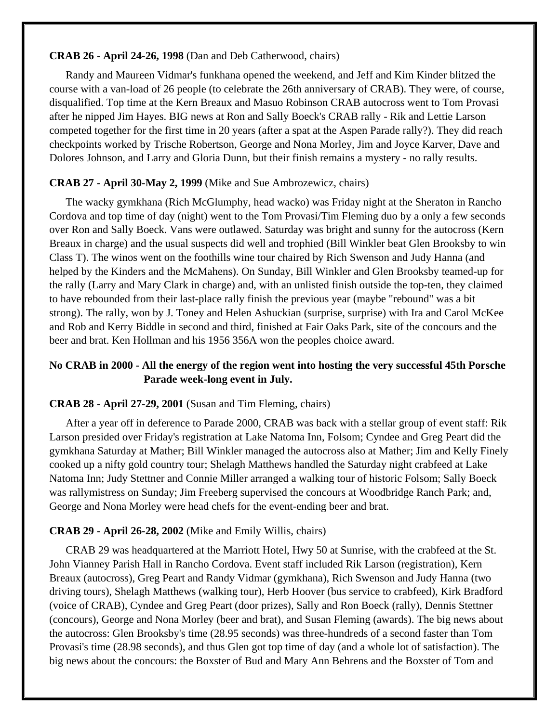**CRAB 26 - April 24-26, 1998** (Dan and Deb Catherwood, chairs)

Randy and Maureen Vidmar's funkhana opened the weekend, and Jeff and Kim Kinder blitzed the course with a van-load of 26 people (to celebrate the 26th anniversary of CRAB). They were, of course, disqualified. Top time at the Kern Breaux and Masuo Robinson CRAB autocross went to Tom Provasi after he nipped Jim Hayes. BIG news at Ron and Sally Boeck's CRAB rally - Rik and Lettie Larson competed together for the first time in 20 years (after a spat at the Aspen Parade rally?). They did reach checkpoints worked by Trische Robertson, George and Nona Morley, Jim and Joyce Karver, Dave and Dolores Johnson, and Larry and Gloria Dunn, but their finish remains a mystery - no rally results.

# **CRAB 27 - April 30-May 2, 1999** (Mike and Sue Ambrozewicz, chairs)

The wacky gymkhana (Rich McGlumphy, head wacko) was Friday night at the Sheraton in Rancho Cordova and top time of day (night) went to the Tom Provasi/Tim Fleming duo by a only a few seconds over Ron and Sally Boeck. Vans were outlawed. Saturday was bright and sunny for the autocross (Kern Breaux in charge) and the usual suspects did well and trophied (Bill Winkler beat Glen Brooksby to win Class T). The winos went on the foothills wine tour chaired by Rich Swenson and Judy Hanna (and helped by the Kinders and the McMahens). On Sunday, Bill Winkler and Glen Brooksby teamed-up for the rally (Larry and Mary Clark in charge) and, with an unlisted finish outside the top-ten, they claimed to have rebounded from their last-place rally finish the previous year (maybe "rebound" was a bit strong). The rally, won by J. Toney and Helen Ashuckian (surprise, surprise) with Ira and Carol McKee and Rob and Kerry Biddle in second and third, finished at Fair Oaks Park, site of the concours and the beer and brat. Ken Hollman and his 1956 356A won the peoples choice award.

# **No CRAB in 2000 - All the energy of the region went into hosting the very successful 45th Porsche Parade week-long event in July.**

# **CRAB 28 - April 27-29, 2001** (Susan and Tim Fleming, chairs)

After a year off in deference to Parade 2000, CRAB was back with a stellar group of event staff: Rik Larson presided over Friday's registration at Lake Natoma Inn, Folsom; Cyndee and Greg Peart did the gymkhana Saturday at Mather; Bill Winkler managed the autocross also at Mather; Jim and Kelly Finely cooked up a nifty gold country tour; Shelagh Matthews handled the Saturday night crabfeed at Lake Natoma Inn; Judy Stettner and Connie Miller arranged a walking tour of historic Folsom; Sally Boeck was rallymistress on Sunday; Jim Freeberg supervised the concours at Woodbridge Ranch Park; and, George and Nona Morley were head chefs for the event-ending beer and brat.

# **CRAB 29 - April 26-28, 2002** (Mike and Emily Willis, chairs)

CRAB 29 was headquartered at the Marriott Hotel, Hwy 50 at Sunrise, with the crabfeed at the St. John Vianney Parish Hall in Rancho Cordova. Event staff included Rik Larson (registration), Kern Breaux (autocross), Greg Peart and Randy Vidmar (gymkhana), Rich Swenson and Judy Hanna (two driving tours), Shelagh Matthews (walking tour), Herb Hoover (bus service to crabfeed), Kirk Bradford (voice of CRAB), Cyndee and Greg Peart (door prizes), Sally and Ron Boeck (rally), Dennis Stettner (concours), George and Nona Morley (beer and brat), and Susan Fleming (awards). The big news about the autocross: Glen Brooksby's time (28.95 seconds) was three-hundreds of a second faster than Tom Provasi's time (28.98 seconds), and thus Glen got top time of day (and a whole lot of satisfaction). The big news about the concours: the Boxster of Bud and Mary Ann Behrens and the Boxster of Tom and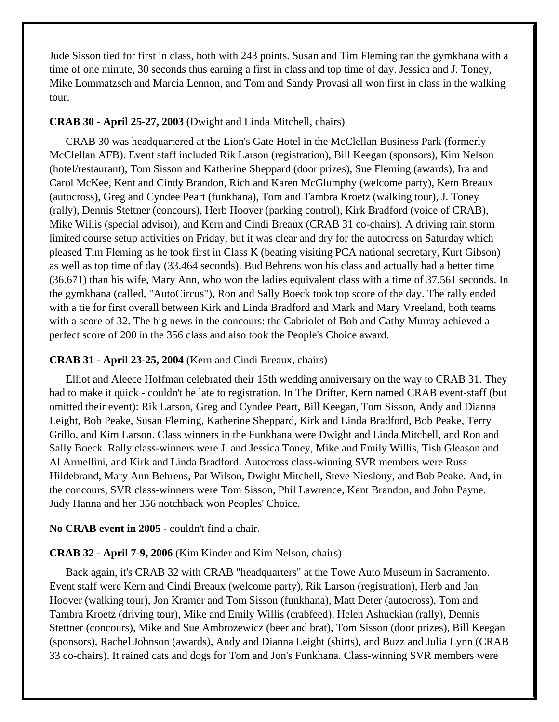Jude Sisson tied for first in class, both with 243 points. Susan and Tim Fleming ran the gymkhana with a time of one minute, 30 seconds thus earning a first in class and top time of day. Jessica and J. Toney, Mike Lommatzsch and Marcia Lennon, and Tom and Sandy Provasi all won first in class in the walking tour.

### **CRAB 30 - April 25-27, 2003** (Dwight and Linda Mitchell, chairs)

CRAB 30 was headquartered at the Lion's Gate Hotel in the McClellan Business Park (formerly McClellan AFB). Event staff included Rik Larson (registration), Bill Keegan (sponsors), Kim Nelson (hotel/restaurant), Tom Sisson and Katherine Sheppard (door prizes), Sue Fleming (awards), Ira and Carol McKee, Kent and Cindy Brandon, Rich and Karen McGlumphy (welcome party), Kern Breaux (autocross), Greg and Cyndee Peart (funkhana), Tom and Tambra Kroetz (walking tour), J. Toney (rally), Dennis Stettner (concours), Herb Hoover (parking control), Kirk Bradford (voice of CRAB), Mike Willis (special advisor), and Kern and Cindi Breaux (CRAB 31 co-chairs). A driving rain storm limited course setup activities on Friday, but it was clear and dry for the autocross on Saturday which pleased Tim Fleming as he took first in Class K (beating visiting PCA national secretary, Kurt Gibson) as well as top time of day (33.464 seconds). Bud Behrens won his class and actually had a better time (36.671) than his wife, Mary Ann, who won the ladies equivalent class with a time of 37.561 seconds. In the gymkhana (called, "AutoCircus"), Ron and Sally Boeck took top score of the day. The rally ended with a tie for first overall between Kirk and Linda Bradford and Mark and Mary Vreeland, both teams with a score of 32. The big news in the concours: the Cabriolet of Bob and Cathy Murray achieved a perfect score of 200 in the 356 class and also took the People's Choice award.

#### **CRAB 31 - April 23-25, 2004** (Kern and Cindi Breaux, chairs)

Elliot and Aleece Hoffman celebrated their 15th wedding anniversary on the way to CRAB 31. They had to make it quick - couldn't be late to registration. In The Drifter, Kern named CRAB event-staff (but omitted their event): Rik Larson, Greg and Cyndee Peart, Bill Keegan, Tom Sisson, Andy and Dianna Leight, Bob Peake, Susan Fleming, Katherine Sheppard, Kirk and Linda Bradford, Bob Peake, Terry Grillo, and Kim Larson. Class winners in the Funkhana were Dwight and Linda Mitchell, and Ron and Sally Boeck. Rally class-winners were J. and Jessica Toney, Mike and Emily Willis, Tish Gleason and Al Armellini, and Kirk and Linda Bradford. Autocross class-winning SVR members were Russ Hildebrand, Mary Ann Behrens, Pat Wilson, Dwight Mitchell, Steve Nieslony, and Bob Peake. And, in the concours, SVR class-winners were Tom Sisson, Phil Lawrence, Kent Brandon, and John Payne. Judy Hanna and her 356 notchback won Peoples' Choice.

#### **No CRAB event in 2005** - couldn't find a chair.

#### **CRAB 32 - April 7-9, 2006** (Kim Kinder and Kim Nelson, chairs)

Back again, it's CRAB 32 with CRAB "headquarters" at the Towe Auto Museum in Sacramento. Event staff were Kern and Cindi Breaux (welcome party), Rik Larson (registration), Herb and Jan Hoover (walking tour), Jon Kramer and Tom Sisson (funkhana), Matt Deter (autocross), Tom and Tambra Kroetz (driving tour), Mike and Emily Willis (crabfeed), Helen Ashuckian (rally), Dennis Stettner (concours), Mike and Sue Ambrozewicz (beer and brat), Tom Sisson (door prizes), Bill Keegan (sponsors), Rachel Johnson (awards), Andy and Dianna Leight (shirts), and Buzz and Julia Lynn (CRAB 33 co-chairs). It rained cats and dogs for Tom and Jon's Funkhana. Class-winning SVR members were